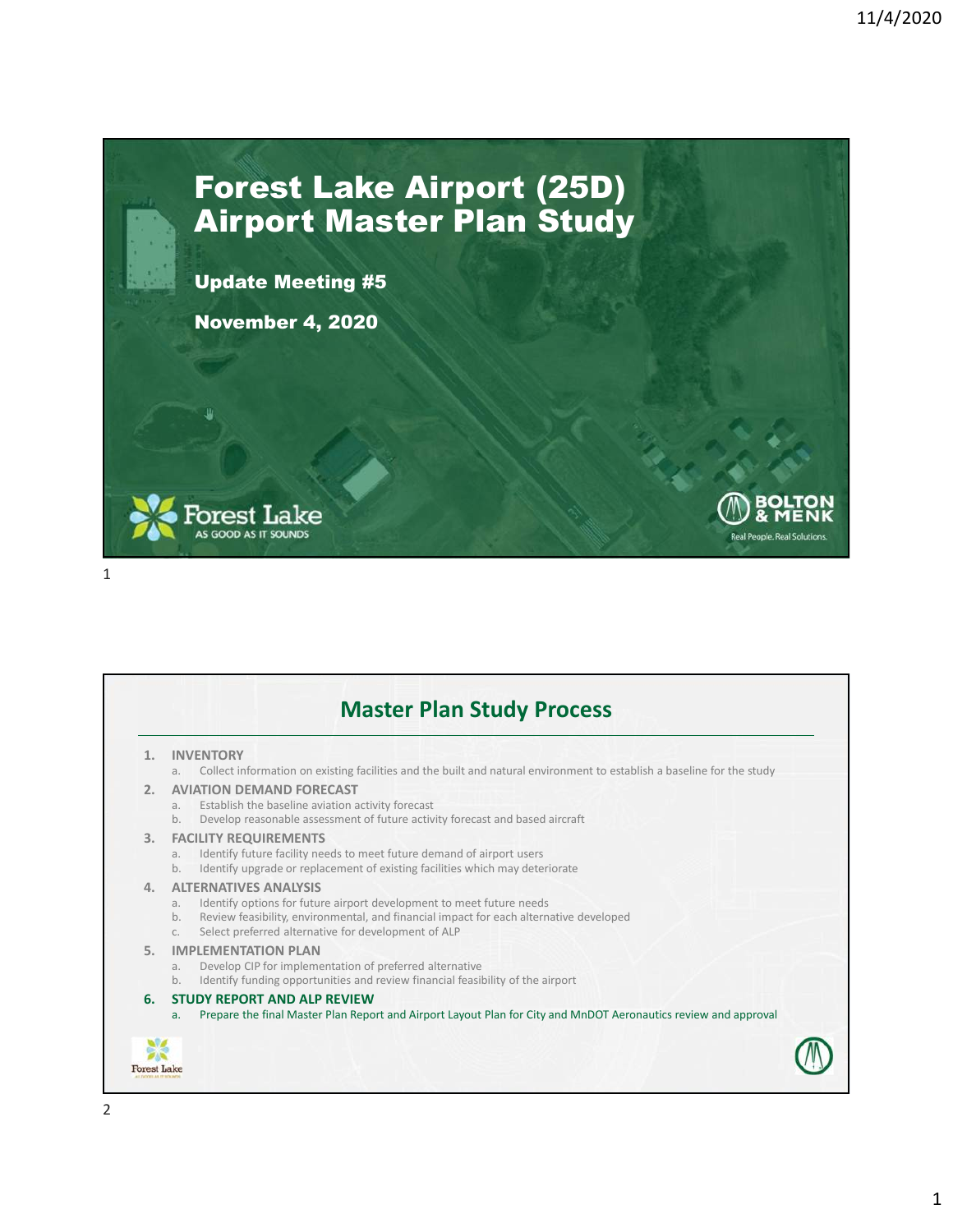**Real People Real S** 

## Forest Lake Airport (25D) Airport Master Plan Study

Update Meeting #5

November 4, 2020



```
Master Plan Study Process
       1. INVENTORY
            a. Collect information on existing facilities and the built and natural environment to establish a baseline for the study
       2. AVIATION DEMAND FORECAST
            a. Establish the baseline aviation activity forecast
            b. Develop reasonable assessment of future activity forecast and based aircraft
       3. FACILITY REQUIREMENTS
            a. Identify future facility needs to meet future demand of airport users
            b. Identify upgrade or replacement of existing facilities which may deteriorate
       4. ALTERNATIVES ANALYSIS
            a. Identify options for future airport development to meet future needs
            b. Review feasibility, environmental, and financial impact for each alternative developed
            c. Select preferred alternative for development of ALP
       5. IMPLEMENTATION PLAN
            a. Develop CIP for implementation of preferred alternative
            b. Identify funding opportunities and review financial feasibility of the airport
       6. STUDY REPORT AND ALP REVIEW
            a. Prepare the final Master Plan Report and Airport Layout Plan for City and MnDOT Aeronautics review and approval
    Forest Lake
2
```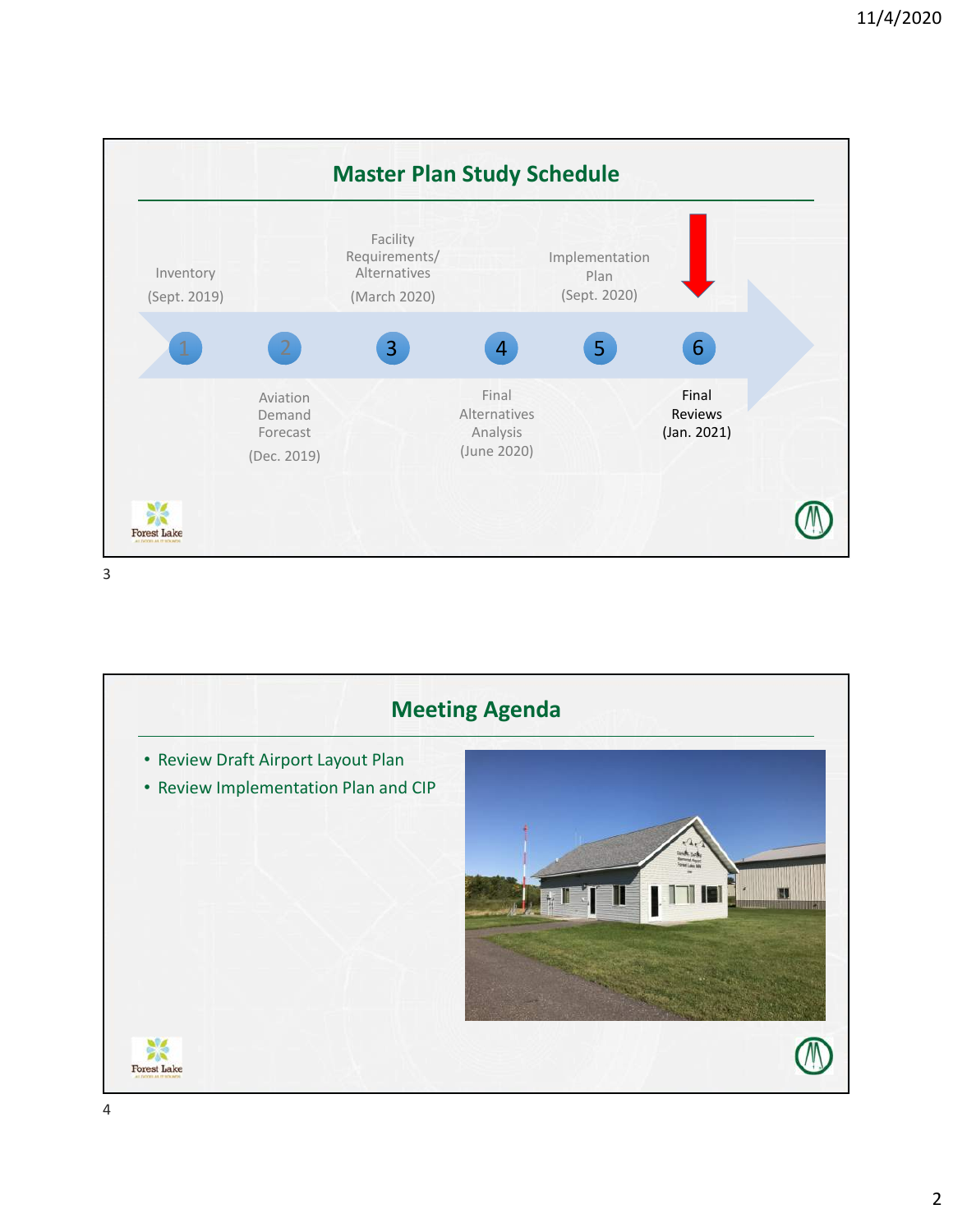

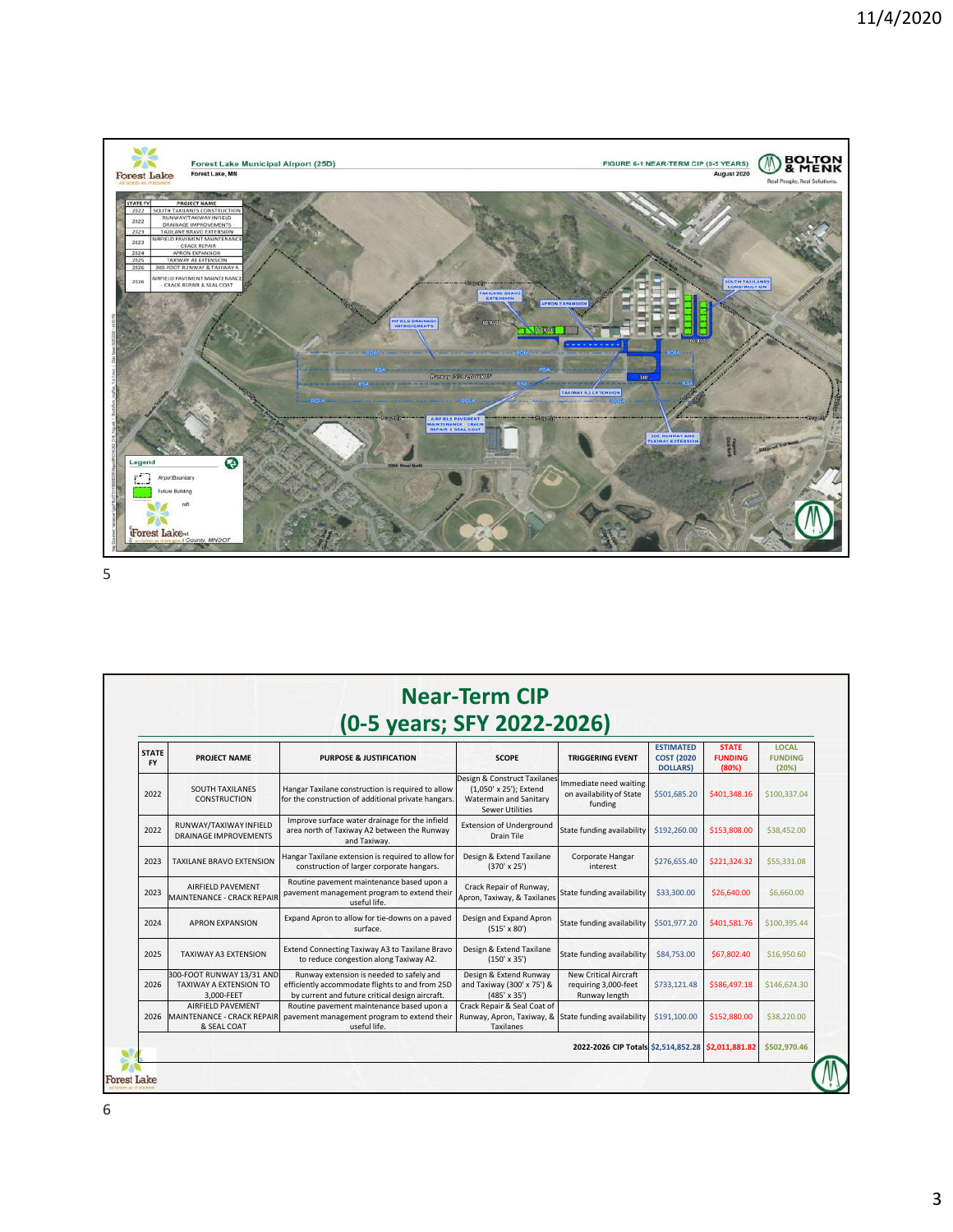

| <b>STATE</b><br><b>FY</b> | PROJECT NAME                                                      | <b>PURPOSE &amp; JUSTIFICATION</b>                                                                                                             | <b>SCOPE</b>                                                                                               | <b>TRIGGERING EVENT</b>                                               | <b>ESTIMATED</b><br><b>COST (2020)</b><br><b>DOLLARS</b> ) | <b>STATE</b><br><b>FUNDING</b><br>(80%) | <b>LOCAL</b><br><b>FUNDING</b><br>(20%) |
|---------------------------|-------------------------------------------------------------------|------------------------------------------------------------------------------------------------------------------------------------------------|------------------------------------------------------------------------------------------------------------|-----------------------------------------------------------------------|------------------------------------------------------------|-----------------------------------------|-----------------------------------------|
| 2022                      | <b>SOUTH TAXILANES</b><br><b>CONSTRUCTION</b>                     | Hangar Taxilane construction is required to allow<br>for the construction of additional private hangars.                                       | Design & Construct Taxilanes<br>(1,050' x 25'); Extend<br><b>Watermain and Sanitary</b><br>Sewer Utilities | Immediate need waiting<br>on availability of State<br>funding         | \$501,685.20                                               | \$401,348.16                            | \$100,337.04                            |
| 2022                      | RUNWAY/TAXIWAY INFIELD<br><b>DRAINAGE IMPROVEMENTS</b>            | Improve surface water drainage for the infield<br>area north of Taxiway A2 between the Runway<br>and Taxiway.                                  | <b>Extension of Underground</b><br>Drain Tile                                                              | State funding availability                                            | \$192,260.00                                               | \$153,808.00                            | \$38,452.00                             |
| 2023                      | <b>TAXILANE BRAVO EXTENSION</b>                                   | Hangar Taxilane extension is required to allow for<br>construction of larger corporate hangars.                                                | Design & Extend Taxilane<br>$(370' \times 25')$                                                            | Corporate Hangar<br>interest                                          | \$276,655.40                                               | \$221,324.32                            | \$55,331.08                             |
| 2023                      | AIRFIELD PAVEMENT<br>MAINTENANCE - CRACK REPAIR                   | Routine pavement maintenance based upon a<br>pavement management program to extend their<br>useful life.                                       | Crack Repair of Runway,<br>Apron, Taxiway, & Taxilanes                                                     | State funding availability                                            | \$33,300.00                                                | \$26,640.00                             | \$6,660.00                              |
| 2024                      | <b>APRON EXPANSION</b>                                            | Expand Apron to allow for tie-downs on a paved<br>surface.                                                                                     | Design and Expand Apron<br>$(515' \times 80')$                                                             | State funding availability                                            | \$501,977.20                                               | \$401,581.76                            | \$100,395.44                            |
| 2025                      | TAXIWAY A3 EXTENSION                                              | Extend Connecting Taxiway A3 to Taxilane Bravo<br>to reduce congestion along Taxiway A2.                                                       | Design & Extend Taxilane<br>$(150' \times 35')$                                                            | State funding availability                                            | \$84,753,00                                                | \$67,802.40                             | \$16,950.60                             |
| 2026                      | 300-FOOT RUNWAY 13/31 AND<br>TAXIWAY A EXTENSION TO<br>3,000-FEET | Runway extension is needed to safely and<br>efficiently accommodate flights to and from 25D<br>by current and future critical design aircraft. | Design & Extend Runway<br>and Taxiway (300' x 75') &<br>$(485' \times 35')$                                | <b>New Critical Aircraft</b><br>requiring 3,000-feet<br>Runway length | \$733,121.48                                               | \$586,497.18                            | \$146,624.30                            |
| 2026                      | AIRFIELD PAVEMENT<br>& SEAL COAT                                  | Routine pavement maintenance based upon a<br>MAINTENANCE - CRACK REPAIR pavement management program to extend their<br>useful life.            | Crack Repair & Seal Coat of<br>Runway, Apron, Taxiway, & State funding availability<br><b>Taxilanes</b>    |                                                                       | \$191,100.00                                               | \$152,880.00                            | \$38,220.00                             |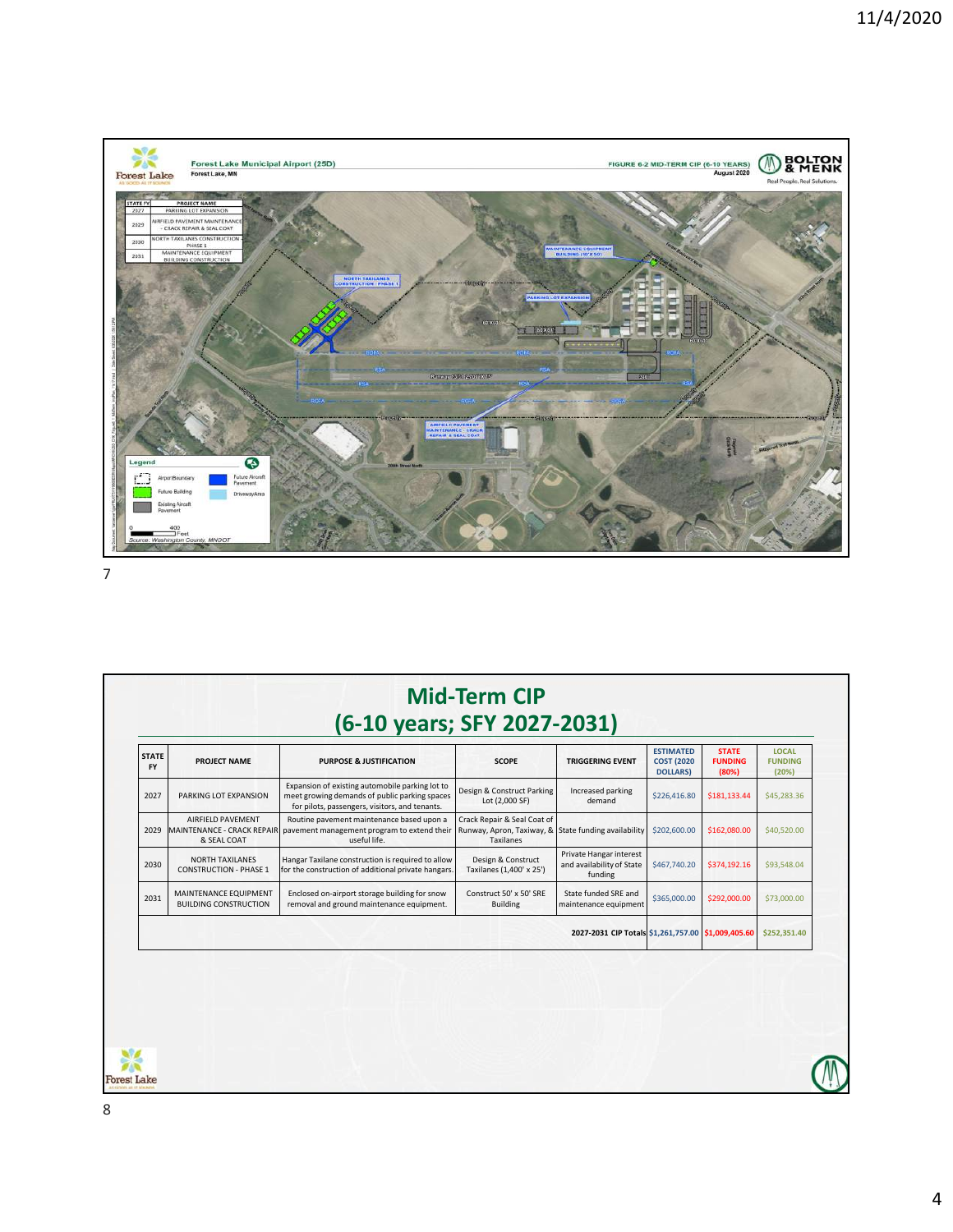

| <b>STATE</b><br><b>FY</b> | PROJECT NAME                                                   | <b>PURPOSE &amp; JUSTIFICATION</b>                                                                                                                 | <b>SCOPE</b>                                                                                            | <b>TRIGGERING EVENT</b>                                         | <b>ESTIMATED</b><br><b>COST (2020)</b><br><b>DOLLARS)</b> | <b>STATE</b><br><b>FUNDING</b><br>(80%) | <b>LOCAL</b><br><b>FUNDING</b><br>(20%) |
|---------------------------|----------------------------------------------------------------|----------------------------------------------------------------------------------------------------------------------------------------------------|---------------------------------------------------------------------------------------------------------|-----------------------------------------------------------------|-----------------------------------------------------------|-----------------------------------------|-----------------------------------------|
| 2027                      | PARKING LOT EXPANSION                                          | Expansion of existing automobile parking lot to<br>meet growing demands of public parking spaces<br>for pilots, passengers, visitors, and tenants. | Design & Construct Parking<br>Lot (2,000 SF)                                                            | Increased parking<br>demand                                     | \$226,416.80                                              | \$181,133.44                            | \$45,283.36                             |
| 2029                      | AIRFIELD PAVEMENT<br>MAINTENANCE - CRACK REPAIR<br>& SEAL COAT | Routine pavement maintenance based upon a<br>pavement management program to extend their<br>useful life.                                           | Crack Repair & Seal Coat of<br>Runway, Apron, Taxiway, & State funding availability<br><b>Taxilanes</b> |                                                                 | \$202,600.00                                              | \$162,080.00                            | \$40,520.00                             |
| 2030                      | <b>NORTH TAXILANES</b><br><b>CONSTRUCTION - PHASE 1</b>        | Hangar Taxilane construction is required to allow<br>for the construction of additional private hangars.                                           | Design & Construct<br>Taxilanes (1,400' x 25')                                                          | Private Hangar interest<br>and availability of State<br>funding | \$467,740.20                                              | \$374,192.16                            | \$93,548.04                             |
| 2031                      | MAINTENANCE EQUIPMENT<br><b>BUILDING CONSTRUCTION</b>          | Enclosed on-airport storage building for snow<br>removal and ground maintenance equipment.                                                         | Construct 50' x 50' SRE<br><b>Building</b>                                                              | State funded SRE and<br>maintenance equipment                   | \$365,000.00                                              | \$292,000.00                            | \$73,000.00                             |
|                           |                                                                |                                                                                                                                                    |                                                                                                         | 2027-2031 CIP Totals \$1,261,757.00 \$1,009,405.60              |                                                           |                                         | \$252,351.40                            |
|                           |                                                                |                                                                                                                                                    |                                                                                                         |                                                                 |                                                           |                                         |                                         |
|                           |                                                                |                                                                                                                                                    |                                                                                                         |                                                                 |                                                           |                                         |                                         |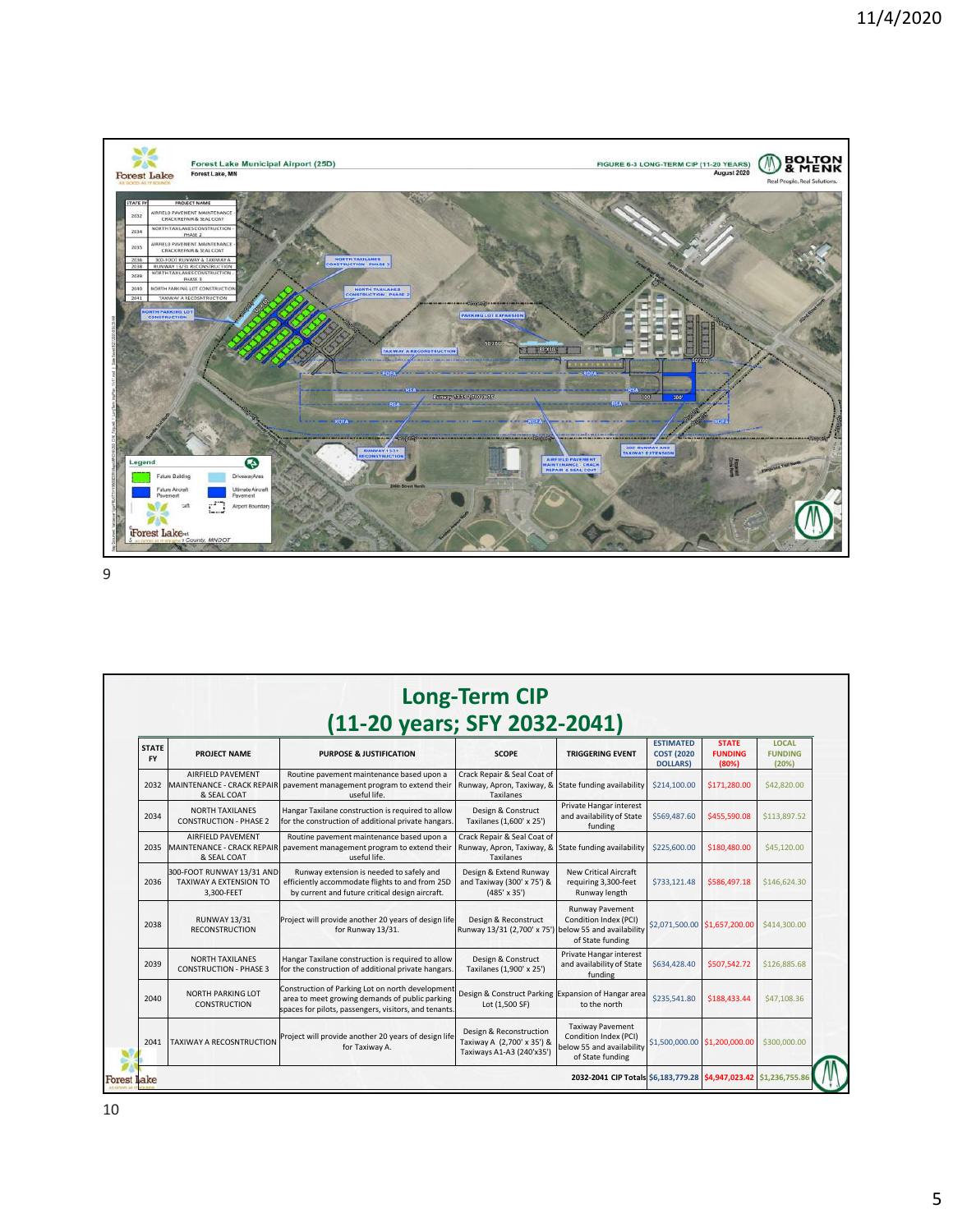

| <b>STATE</b><br><b>FY</b> | PROJECT NAME                                                          | <b>PURPOSE &amp; JUSTIFICATION</b>                                                                                                                          | <b>SCOPE</b>                                                                       | <b>TRIGGERING EVENT</b>                                                       | <b>ESTIMATED</b><br><b>COST (2020)</b><br><b>DOLLARS</b> | <b>STATE</b><br><b>FUNDING</b><br>(80%) | <b>LOCAL</b><br><b>FUNDING</b><br>(20%) |
|---------------------------|-----------------------------------------------------------------------|-------------------------------------------------------------------------------------------------------------------------------------------------------------|------------------------------------------------------------------------------------|-------------------------------------------------------------------------------|----------------------------------------------------------|-----------------------------------------|-----------------------------------------|
| 2032                      | AIRFIELD PAVEMENT<br><b>MAINTENANCE - CRACK REPAIR</b><br>& SEAL COAT | Routine pavement maintenance based upon a<br>pavement management program to extend their<br>useful life.                                                    | Crack Repair & Seal Coat of<br>Runway, Apron, Taxiway, &<br><b>Taxilanes</b>       | State funding availability                                                    | \$214,100.00                                             | \$171,280.00                            | \$42,820.00                             |
| 2034                      | <b>NORTH TAXILANES</b><br><b>CONSTRUCTION - PHASE 2</b>               | Hangar Taxilane construction is required to allow<br>for the construction of additional private hangars.                                                    | Design & Construct<br>Taxilanes (1,600' x 25')                                     | Private Hangar interest<br>and availability of State<br>funding               | \$569,487.60                                             | \$455,590.08                            | \$113,897.52                            |
| 2035                      | AIRFIELD PAVEMENT<br>MAINTENANCE - CRACK REPAIR<br>& SEAL COAT        | Routine pavement maintenance based upon a<br>pavement management program to extend their<br>useful life.                                                    | Crack Repair & Seal Coat of<br>Runway, Apron, Taxiway, &<br><b>Taxilanes</b>       | State funding availability                                                    | \$225,600.00                                             | \$180,480.00                            | \$45,120.00                             |
| 2036                      | 300-FOOT RUNWAY 13/31 AND<br>TAXIWAY A EXTENSION TO<br>3.300-FEET     | Runway extension is needed to safely and<br>efficiently accommodate flights to and from 25D<br>by current and future critical design aircraft.              | Design & Extend Runway<br>and Taxiway (300' x 75') &<br>$(485' \times 35')$        | <b>New Critical Aircraft</b><br>requiring 3,300-feet<br>Runway length         | \$733,121.48                                             | \$586,497.18                            | \$146,624.30                            |
| 2038                      | <b>RUNWAY 13/31</b><br><b>RECONSTRUCTION</b>                          | Project will provide another 20 years of design life<br>for Runway 13/31.                                                                                   | Design & Reconstruct<br>Runway 13/31 (2,700' x 75') below 55 and availability      | Runway Pavement<br>Condition Index (PCI)<br>of State funding                  |                                                          | \$2,071,500.00 \$1,657,200.00           | \$414,300,00                            |
| 2039                      | <b>NORTH TAXILANES</b><br><b>CONSTRUCTION - PHASE 3</b>               | Hangar Taxilane construction is required to allow<br>for the construction of additional private hangars.                                                    | Design & Construct<br>Taxilanes (1,900' x 25')                                     | Private Hangar interest<br>and availability of State<br>funding               | \$634,428.40                                             | \$507,542.72                            | \$126,885.68                            |
| 2040                      | <b>NORTH PARKING LOT</b><br><b>CONSTRUCTION</b>                       | Construction of Parking Lot on north development<br>area to meet growing demands of public parking<br>spaces for pilots, passengers, visitors, and tenants. | Design & Construct Parking Expansion of Hangar area<br>Lot (1,500 SF)              | to the north                                                                  | \$235,541.80                                             | \$188,433.44                            | \$47,108.36                             |
| 2041                      | <b>TAXIWAY A RECOSNTRUCTION</b>                                       | Project will provide another 20 years of design life<br>for Taxiway A.                                                                                      | Design & Reconstruction<br>Taxiway A (2,700' x 35') &<br>Taxiways A1-A3 (240'x35') | <b>Taxiway Pavement</b><br>Condition Index (PCI)<br>below 55 and availability |                                                          | \$1,500,000.00 \$1,200,000.00           | \$300,000.00                            |